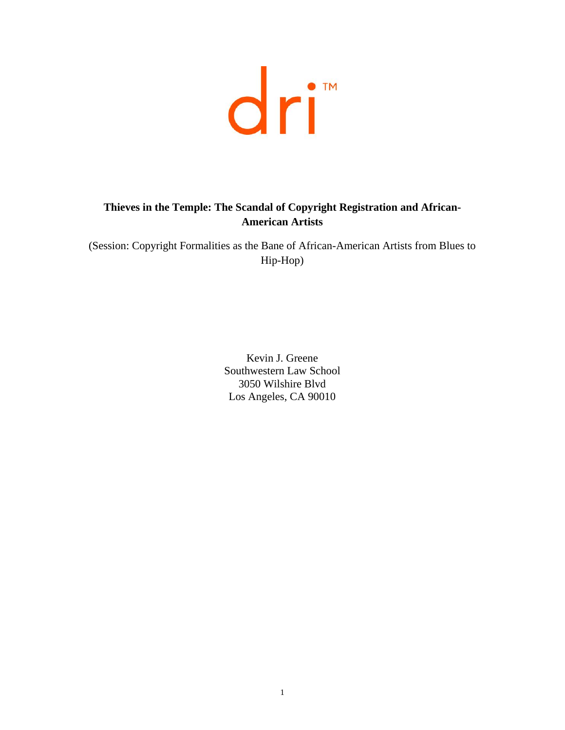

# **Thieves in the Temple: The Scandal of Copyright Registration and African-American Artists**

(Session: Copyright Formalities as the Bane of African-American Artists from Blues to Hip-Hop)

> Kevin J. Greene Southwestern Law School 3050 Wilshire Blvd Los Angeles, CA 90010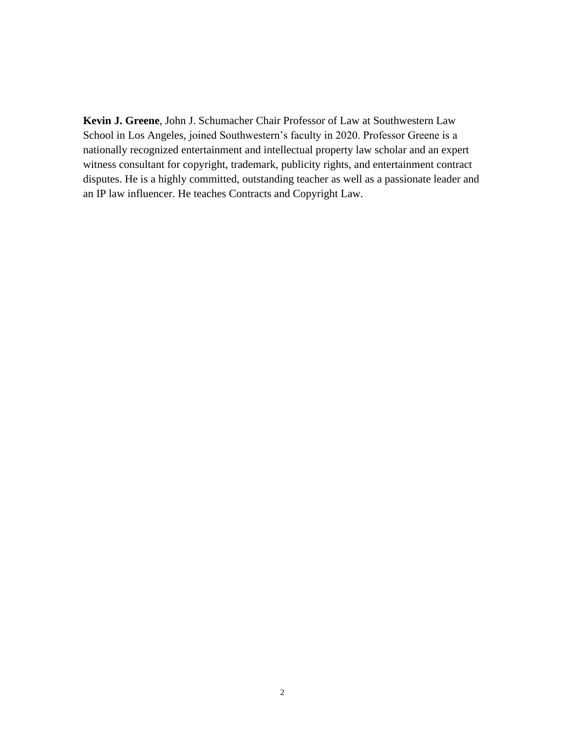**Kevin J. Greene**, John J. Schumacher Chair Professor of Law at Southwestern Law School in Los Angeles, joined Southwestern's faculty in 2020. Professor Greene is a nationally recognized entertainment and intellectual property law scholar and an expert witness consultant for copyright, trademark, publicity rights, and entertainment contract disputes. He is a highly committed, outstanding teacher as well as a passionate leader and an IP law influencer. He teaches Contracts and Copyright Law.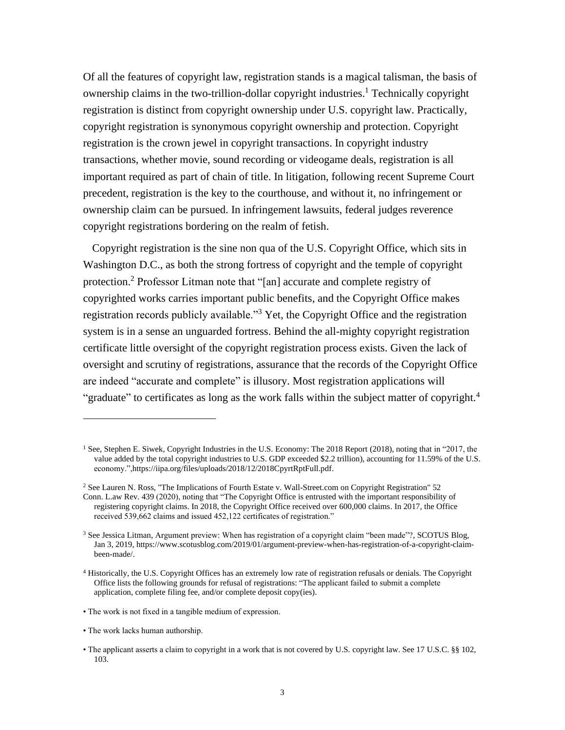Of all the features of copyright law, registration stands is a magical talisman, the basis of ownership claims in the two-trillion-dollar copyright industries. <sup>1</sup> Technically copyright registration is distinct from copyright ownership under U.S. copyright law. Practically, copyright registration is synonymous copyright ownership and protection. Copyright registration is the crown jewel in copyright transactions. In copyright industry transactions, whether movie, sound recording or videogame deals, registration is all important required as part of chain of title. In litigation, following recent Supreme Court precedent, registration is the key to the courthouse, and without it, no infringement or ownership claim can be pursued. In infringement lawsuits, federal judges reverence copyright registrations bordering on the realm of fetish.

Copyright registration is the sine non qua of the U.S. Copyright Office, which sits in Washington D.C., as both the strong fortress of copyright and the temple of copyright protection.<sup>2</sup> Professor Litman note that "[an] accurate and complete registry of copyrighted works carries important public benefits, and the Copyright Office makes registration records publicly available."<sup>3</sup> Yet, the Copyright Office and the registration system is in a sense an unguarded fortress. Behind the all-mighty copyright registration certificate little oversight of the copyright registration process exists. Given the lack of oversight and scrutiny of registrations, assurance that the records of the Copyright Office are indeed "accurate and complete" is illusory. Most registration applications will "graduate" to certificates as long as the work falls within the subject matter of copyright.<sup>4</sup>

• The work lacks human authorship.

<sup>1</sup> See, Stephen E. Siwek, Copyright Industries in the U.S. Economy: The 2018 Report (2018), noting that in "2017, the value added by the total copyright industries to U.S. GDP exceeded \$2.2 trillion), accounting for 11.59% of the U.S. economy.",https://iipa.org/files/uploads/2018/12/2018CpyrtRptFull.pdf.

<sup>&</sup>lt;sup>2</sup> See Lauren N. Ross, "The Implications of Fourth Estate v. Wall-Street.com on Copyright Registration" 52 Conn. L.aw Rev. 439 (2020), noting that "The Copyright Office is entrusted with the important responsibility of registering copyright claims. In 2018, the Copyright Office received over 600,000 claims. In 2017, the Office received 539,662 claims and issued 452,122 certificates of registration."

<sup>&</sup>lt;sup>3</sup> See Jessica Litman, Argument preview: When has registration of a copyright claim "been made"?, SCOTUS Blog, Jan 3, 2019, https://www.scotusblog.com/2019/01/argument-preview-when-has-registration-of-a-copyright-claimbeen-made/.

<sup>4</sup> Historically, the U.S. Copyright Offices has an extremely low rate of registration refusals or denials. The Copyright Office lists the following grounds for refusal of registrations: "The applicant failed to submit a complete application, complete filing fee, and/or complete deposit copy(ies).

<sup>•</sup> The work is not fixed in a tangible medium of expression.

<sup>•</sup> The applicant asserts a claim to copyright in a work that is not covered by U.S. copyright law. See 17 U.S.C. §§ 102, 103.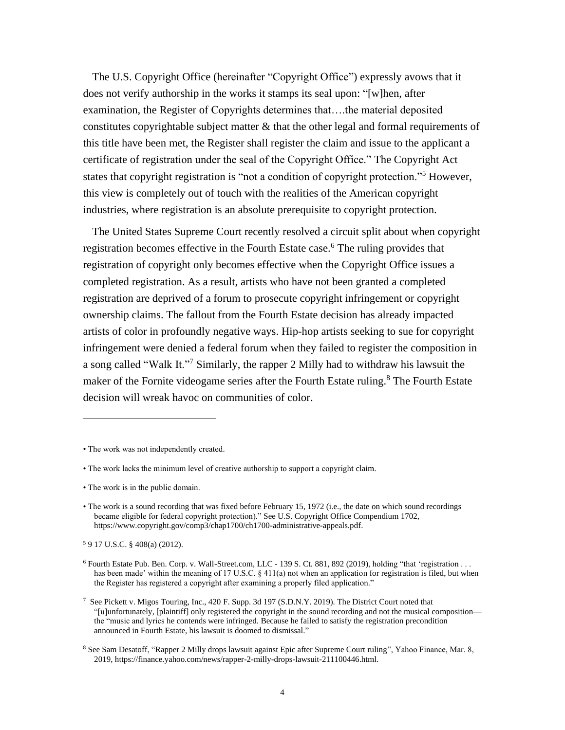The U.S. Copyright Office (hereinafter "Copyright Office") expressly avows that it does not verify authorship in the works it stamps its seal upon: "[w]hen, after examination, the Register of Copyrights determines that….the material deposited constitutes copyrightable subject matter  $\&$  that the other legal and formal requirements of this title have been met, the Register shall register the claim and issue to the applicant a certificate of registration under the seal of the Copyright Office." The Copyright Act states that copyright registration is "not a condition of copyright protection."<sup>5</sup> However, this view is completely out of touch with the realities of the American copyright industries, where registration is an absolute prerequisite to copyright protection.

The United States Supreme Court recently resolved a circuit split about when copyright registration becomes effective in the Fourth Estate case.<sup>6</sup> The ruling provides that registration of copyright only becomes effective when the Copyright Office issues a completed registration. As a result, artists who have not been granted a completed registration are deprived of a forum to prosecute copyright infringement or copyright ownership claims. The fallout from the Fourth Estate decision has already impacted artists of color in profoundly negative ways. Hip-hop artists seeking to sue for copyright infringement were denied a federal forum when they failed to register the composition in a song called "Walk It."<sup>7</sup> Similarly, the rapper 2 Milly had to withdraw his lawsuit the maker of the Fornite videogame series after the Fourth Estate ruling.<sup>8</sup> The Fourth Estate decision will wreak havoc on communities of color.

- The work lacks the minimum level of creative authorship to support a copyright claim.
- The work is in the public domain.

<sup>5</sup> 9 17 U.S.C. § 408(a) (2012).

<sup>•</sup> The work was not independently created.

<sup>•</sup> The work is a sound recording that was fixed before February 15, 1972 (i.e., the date on which sound recordings became eligible for federal copyright protection)." See U.S. Copyright Office Compendium 1702, https://www.copyright.gov/comp3/chap1700/ch1700-administrative-appeals.pdf.

 $6$  Fourth Estate Pub. Ben. Corp. v. Wall-Street.com, LLC - 139 S. Ct. 881, 892 (2019), holding "that 'registration . . . has been made' within the meaning of 17 U.S.C. § 411(a) not when an application for registration is filed, but when the Register has registered a copyright after examining a properly filed application."

<sup>7</sup> See Pickett v. Migos Touring, Inc., 420 F. Supp. 3d 197 (S.D.N.Y. 2019). The District Court noted that "[u]unfortunately, [plaintiff] only registered the copyright in the sound recording and not the musical composition the "music and lyrics he contends were infringed. Because he failed to satisfy the registration precondition announced in Fourth Estate, his lawsuit is doomed to dismissal."

<sup>&</sup>lt;sup>8</sup> See Sam Desatoff, "Rapper 2 Milly drops lawsuit against Epic after Supreme Court ruling", Yahoo Finance, Mar. 8, 2019, https://finance.yahoo.com/news/rapper-2-milly-drops-lawsuit-211100446.html.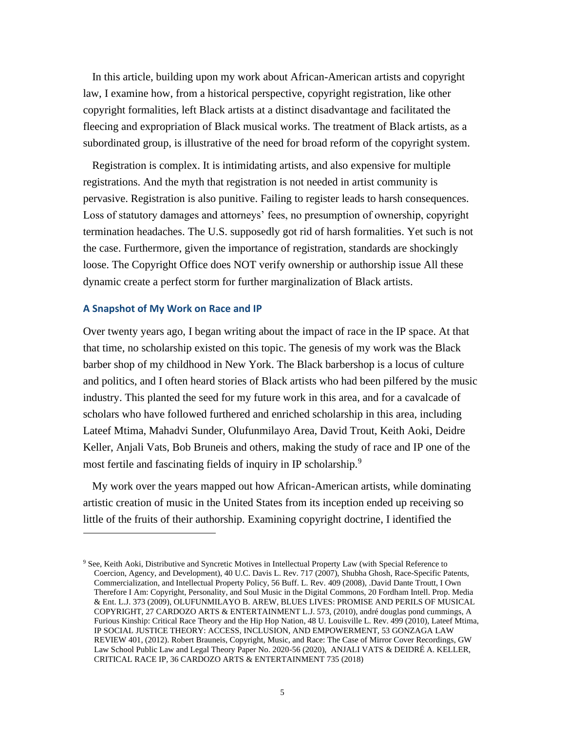In this article, building upon my work about African-American artists and copyright law, I examine how, from a historical perspective, copyright registration, like other copyright formalities, left Black artists at a distinct disadvantage and facilitated the fleecing and expropriation of Black musical works. The treatment of Black artists, as a subordinated group, is illustrative of the need for broad reform of the copyright system.

Registration is complex. It is intimidating artists, and also expensive for multiple registrations. And the myth that registration is not needed in artist community is pervasive. Registration is also punitive. Failing to register leads to harsh consequences. Loss of statutory damages and attorneys' fees, no presumption of ownership, copyright termination headaches. The U.S. supposedly got rid of harsh formalities. Yet such is not the case. Furthermore, given the importance of registration, standards are shockingly loose. The Copyright Office does NOT verify ownership or authorship issue All these dynamic create a perfect storm for further marginalization of Black artists.

#### **A Snapshot of My Work on Race and IP**

Over twenty years ago, I began writing about the impact of race in the IP space. At that that time, no scholarship existed on this topic. The genesis of my work was the Black barber shop of my childhood in New York. The Black barbershop is a locus of culture and politics, and I often heard stories of Black artists who had been pilfered by the music industry. This planted the seed for my future work in this area, and for a cavalcade of scholars who have followed furthered and enriched scholarship in this area, including Lateef Mtima, Mahadvi Sunder, Olufunmilayo Area, David Trout, Keith Aoki, Deidre Keller, Anjali Vats, Bob Bruneis and others, making the study of race and IP one of the most fertile and fascinating fields of inquiry in IP scholarship.<sup>9</sup>

My work over the years mapped out how African-American artists, while dominating artistic creation of music in the United States from its inception ended up receiving so little of the fruits of their authorship. Examining copyright doctrine, I identified the

<sup>9</sup> See, Keith Aoki, Distributive and Syncretic Motives in Intellectual Property Law (with Special Reference to Coercion, Agency, and Development), 40 U.C. Davis L. Rev. 717 (2007), Shubha Ghosh, Race-Specific Patents, Commercialization, and Intellectual Property Policy, 56 Buff. L. Rev. 409 (2008), .David Dante Troutt, I Own Therefore I Am: Copyright, Personality, and Soul Music in the Digital Commons, 20 Fordham Intell. Prop. Media & Ent. L.J. 373 (2009), OLUFUNMILAYO B. AREW, BLUES LIVES: PROMISE AND PERILS OF MUSICAL COPYRIGHT, 27 CARDOZO ARTS & ENTERTAINMENT L.J. 573, (2010), andré douglas pond cummings, A Furious Kinship: Critical Race Theory and the Hip Hop Nation, 48 U. Louisville L. Rev. 499 (2010), Lateef Mtima, IP SOCIAL JUSTICE THEORY: ACCESS, INCLUSION, AND EMPOWERMENT, 53 GONZAGA LAW REVIEW 401, (2012). Robert Brauneis, Copyright, Music, and Race: The Case of Mirror Cover Recordings, GW Law School Public Law and Legal Theory Paper No. 2020-56 (2020), ANJALI VATS & DEIDRÉ A. KELLER, CRITICAL RACE IP, 36 CARDOZO ARTS & ENTERTAINMENT 735 (2018)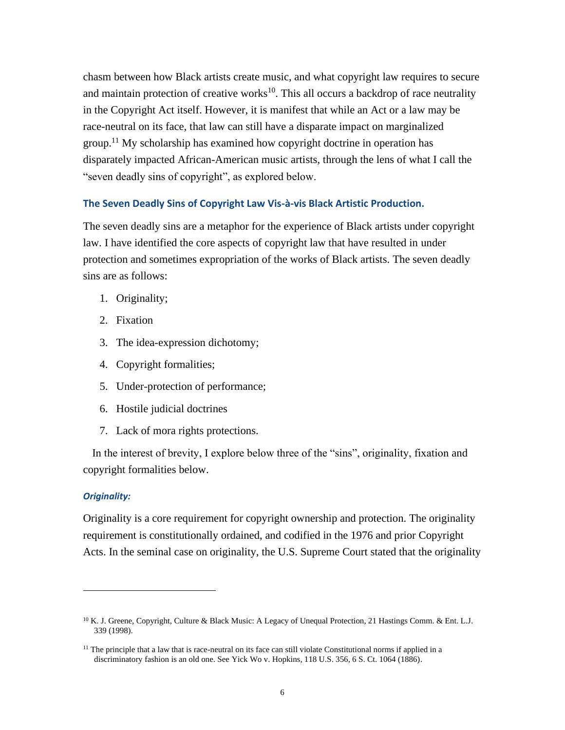chasm between how Black artists create music, and what copyright law requires to secure and maintain protection of creative works $10$ . This all occurs a backdrop of race neutrality in the Copyright Act itself. However, it is manifest that while an Act or a law may be race-neutral on its face, that law can still have a disparate impact on marginalized group.<sup>11</sup> My scholarship has examined how copyright doctrine in operation has disparately impacted African-American music artists, through the lens of what I call the "seven deadly sins of copyright", as explored below.

#### **The Seven Deadly Sins of Copyright Law Vis-à-vis Black Artistic Production.**

The seven deadly sins are a metaphor for the experience of Black artists under copyright law. I have identified the core aspects of copyright law that have resulted in under protection and sometimes expropriation of the works of Black artists. The seven deadly sins are as follows:

- 1. Originality;
- 2. Fixation
- 3. The idea-expression dichotomy;
- 4. Copyright formalities;
- 5. Under-protection of performance;
- 6. Hostile judicial doctrines
- 7. Lack of mora rights protections.

In the interest of brevity, I explore below three of the "sins", originality, fixation and copyright formalities below.

#### *Originality:*

Originality is a core requirement for copyright ownership and protection. The originality requirement is constitutionally ordained, and codified in the 1976 and prior Copyright Acts. In the seminal case on originality, the U.S. Supreme Court stated that the originality

 $10$  K. J. Greene, Copyright, Culture & Black Music: A Legacy of Unequal Protection, 21 Hastings Comm. & Ent. L.J. 339 (1998).

 $11$  The principle that a law that is race-neutral on its face can still violate Constitutional norms if applied in a discriminatory fashion is an old one. See Yick Wo v. Hopkins, 118 U.S. 356, 6 S. Ct. 1064 (1886).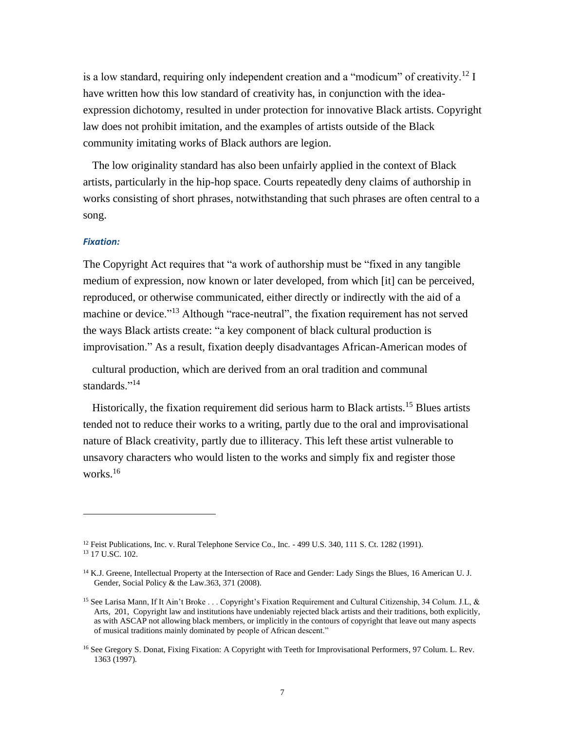is a low standard, requiring only independent creation and a "modicum" of creativity.<sup>12</sup> I have written how this low standard of creativity has, in conjunction with the ideaexpression dichotomy, resulted in under protection for innovative Black artists. Copyright law does not prohibit imitation, and the examples of artists outside of the Black community imitating works of Black authors are legion.

The low originality standard has also been unfairly applied in the context of Black artists, particularly in the hip-hop space. Courts repeatedly deny claims of authorship in works consisting of short phrases, notwithstanding that such phrases are often central to a song.

#### *Fixation:*

The Copyright Act requires that "a work of authorship must be "fixed in any tangible medium of expression, now known or later developed, from which [it] can be perceived, reproduced, or otherwise communicated, either directly or indirectly with the aid of a machine or device."<sup>13</sup> Although "race-neutral", the fixation requirement has not served the ways Black artists create: "a key component of black cultural production is improvisation." As a result, fixation deeply disadvantages African-American modes of

cultural production, which are derived from an oral tradition and communal standards."<sup>14</sup>

Historically, the fixation requirement did serious harm to Black artists.<sup>15</sup> Blues artists tended not to reduce their works to a writing, partly due to the oral and improvisational nature of Black creativity, partly due to illiteracy. This left these artist vulnerable to unsavory characters who would listen to the works and simply fix and register those works.<sup>16</sup>

<sup>&</sup>lt;sup>12</sup> Feist Publications, Inc. v. Rural Telephone Service Co., Inc. - 499 U.S. 340, 111 S. Ct. 1282 (1991). <sup>13</sup> 17 U.SC. 102.

<sup>&</sup>lt;sup>14</sup> K.J. Greene, Intellectual Property at the Intersection of Race and Gender: Lady Sings the Blues, 16 American U. J. Gender, Social Policy & the Law.363, 371 (2008).

<sup>15</sup> See Larisa Mann, If It Ain't Broke . . . Copyright's Fixation Requirement and Cultural Citizenship, 34 Colum. J.L, & Arts, 201, Copyright law and institutions have undeniably rejected black artists and their traditions, both explicitly, as with ASCAP not allowing black members, or implicitly in the contours of copyright that leave out many aspects of musical traditions mainly dominated by people of African descent."

<sup>&</sup>lt;sup>16</sup> See Gregory S. Donat, Fixing Fixation: A Copyright with Teeth for Improvisational Performers, 97 Colum. L. Rev. 1363 (1997).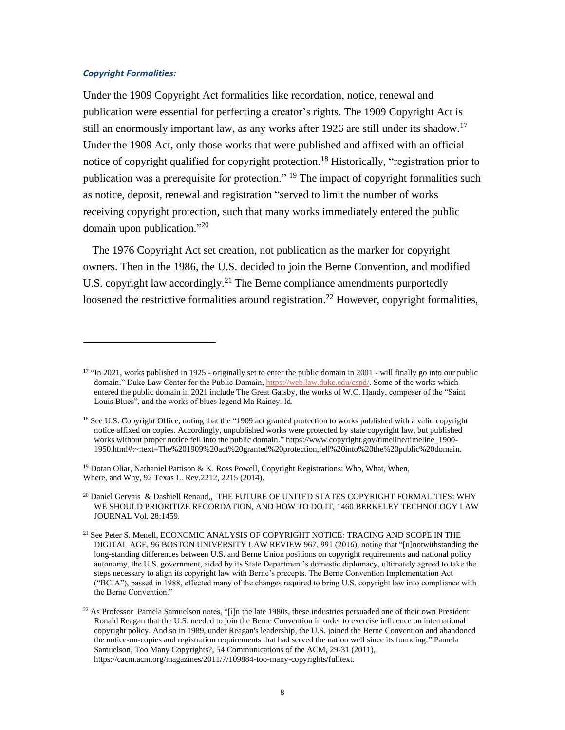#### *Copyright Formalities:*

Under the 1909 Copyright Act formalities like recordation, notice, renewal and publication were essential for perfecting a creator's rights. The 1909 Copyright Act is still an enormously important law, as any works after 1926 are still under its shadow.<sup>17</sup> Under the 1909 Act, only those works that were published and affixed with an official notice of copyright qualified for copyright protection.<sup>18</sup> Historically, "registration prior to publication was a prerequisite for protection." <sup>19</sup> The impact of copyright formalities such as notice, deposit, renewal and registration "served to limit the number of works receiving copyright protection, such that many works immediately entered the public domain upon publication."<sup>20</sup>

The 1976 Copyright Act set creation, not publication as the marker for copyright owners. Then in the 1986, the U.S. decided to join the Berne Convention, and modified U.S. copyright law accordingly.<sup>21</sup> The Berne compliance amendments purportedly loosened the restrictive formalities around registration.<sup>22</sup> However, copyright formalities,

<sup>&</sup>lt;sup>17</sup> "In 2021, works published in 1925 - originally set to enter the public domain in 2001 - will finally go into our public domain." Duke Law Center for the Public Domain[, https://web.law.duke.edu/cspd/.](https://web.law.duke.edu/cspd/) Some of the works which entered the public domain in 2021 include The Great Gatsby, the works of W.C. Handy, composer of the "Saint Louis Blues", and the works of blues legend Ma Rainey. Id.

<sup>&</sup>lt;sup>18</sup> See U.S. Copyright Office, noting that the "1909 act granted protection to works published with a valid copyright notice affixed on copies. Accordingly, unpublished works were protected by state copyright law, but published works without proper notice fell into the public domain." https://www.copyright.gov/timeline/timeline\_1900- 1950.html#:~:text=The%201909%20act%20granted%20protection,fell%20into%20the%20public%20domain.

<sup>19</sup> Dotan Oliar, Nathaniel Pattison & K. Ross Powell, Copyright Registrations: Who, What, When, Where, and Why, 92 Texas L. Rev.2212, 2215 (2014).

<sup>20</sup> Daniel Gervais & Dashiell Renaud,, THE FUTURE OF UNITED STATES COPYRIGHT FORMALITIES: WHY WE SHOULD PRIORITIZE RECORDATION, AND HOW TO DO IT, 1460 BERKELEY TECHNOLOGY LAW JOURNAL Vol. 28:1459.

<sup>21</sup> See Peter S. Menell, ECONOMIC ANALYSIS OF COPYRIGHT NOTICE: TRACING AND SCOPE IN THE DIGITAL AGE, 96 BOSTON UNIVERSITY LAW REVIEW 967, 991 (2016), noting that "[n]notwithstanding the long-standing differences between U.S. and Berne Union positions on copyright requirements and national policy autonomy, the U.S. government, aided by its State Department's domestic diplomacy, ultimately agreed to take the steps necessary to align its copyright law with Berne's precepts. The Berne Convention Implementation Act ("BCIA"), passed in 1988, effected many of the changes required to bring U.S. copyright law into compliance with the Berne Convention."

 $22$  As Professor Pamela Samuelson notes, "[i]n the late 1980s, these industries persuaded one of their own President Ronald Reagan that the U.S. needed to join the Berne Convention in order to exercise influence on international copyright policy. And so in 1989, under Reagan's leadership, the U.S. joined the Berne Convention and abandoned the notice-on-copies and registration requirements that had served the nation well since its founding." Pamela Samuelson, Too Many Copyrights?, 54 Communications of the ACM, 29-31 (2011), https://cacm.acm.org/magazines/2011/7/109884-too-many-copyrights/fulltext.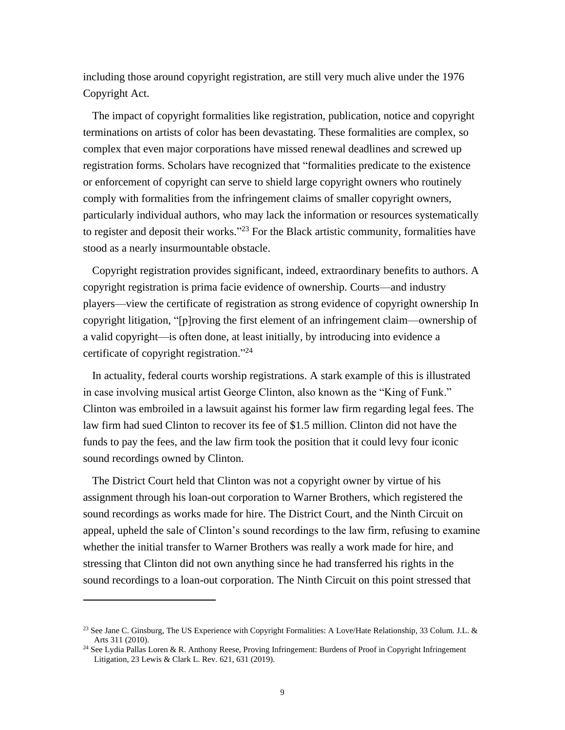including those around copyright registration, are still very much alive under the 1976 Copyright Act.

The impact of copyright formalities like registration, publication, notice and copyright terminations on artists of color has been devastating. These formalities are complex, so complex that even major corporations have missed renewal deadlines and screwed up registration forms. Scholars have recognized that "formalities predicate to the existence or enforcement of copyright can serve to shield large copyright owners who routinely comply with formalities from the infringement claims of smaller copyright owners, particularly individual authors, who may lack the information or resources systematically to register and deposit their works."<sup>23</sup> For the Black artistic community, formalities have stood as a nearly insurmountable obstacle.

Copyright registration provides significant, indeed, extraordinary benefits to authors. A copyright registration is prima facie evidence of ownership. Courts—and industry players—view the certificate of registration as strong evidence of copyright ownership In copyright litigation, "[p]roving the first element of an infringement claim—ownership of a valid copyright—is often done, at least initially, by introducing into evidence a certificate of copyright registration."<sup>24</sup>

In actuality, federal courts worship registrations. A stark example of this is illustrated in case involving musical artist George Clinton, also known as the "King of Funk." Clinton was embroiled in a lawsuit against his former law firm regarding legal fees. The law firm had sued Clinton to recover its fee of \$1.5 million. Clinton did not have the funds to pay the fees, and the law firm took the position that it could levy four iconic sound recordings owned by Clinton.

The District Court held that Clinton was not a copyright owner by virtue of his assignment through his loan-out corporation to Warner Brothers, which registered the sound recordings as works made for hire. The District Court, and the Ninth Circuit on appeal, upheld the sale of Clinton's sound recordings to the law firm, refusing to examine whether the initial transfer to Warner Brothers was really a work made for hire, and stressing that Clinton did not own anything since he had transferred his rights in the sound recordings to a loan-out corporation. The Ninth Circuit on this point stressed that

<sup>&</sup>lt;sup>23</sup> See Jane C. Ginsburg, The US Experience with Copyright Formalities: A Love/Hate Relationship, 33 Colum. J.L. & Arts 311 (2010).

<sup>&</sup>lt;sup>24</sup> See Lydia Pallas Loren & R. Anthony Reese, Proving Infringement: Burdens of Proof in Copyright Infringement Litigation, 23 Lewis & Clark L. Rev. 621, 631 (2019).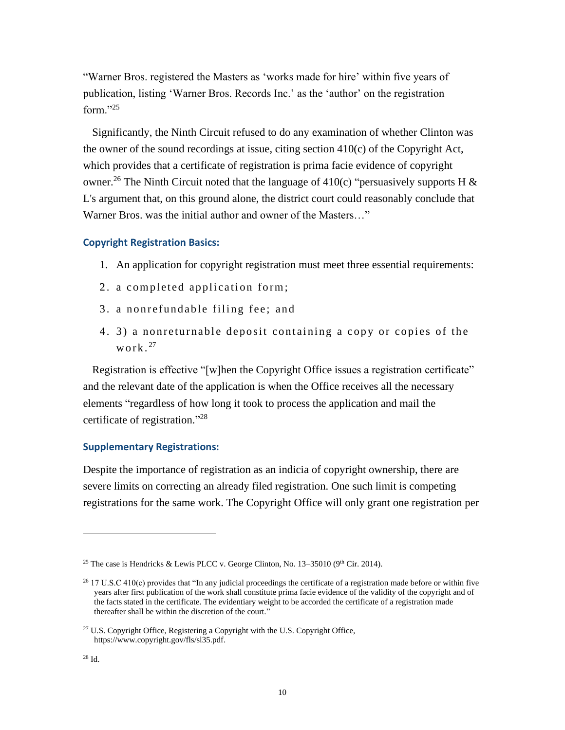"Warner Bros. registered the Masters as 'works made for hire' within five years of publication, listing 'Warner Bros. Records Inc.' as the 'author' on the registration form." $^{25}$ 

Significantly, the Ninth Circuit refused to do any examination of whether Clinton was the owner of the sound recordings at issue, citing section  $410(c)$  of the Copyright Act, which provides that a certificate of registration is prima facie evidence of copyright owner.<sup>26</sup> The Ninth Circuit noted that the language of 410(c) "persuasively supports H & L's argument that, on this ground alone, the district court could reasonably conclude that Warner Bros. was the initial author and owner of the Masters…"

# **Copyright Registration Basics:**

- 1. An application for copyright registration must meet three essential requirements:
- 2. a completed application form;
- 3. a nonrefundable filing fee; and
- 4. 3) a nonreturnable deposit containing a copy or copies of the w ork.<sup>27</sup>

Registration is effective "[w]hen the Copyright Office issues a registration certificate" and the relevant date of the application is when the Office receives all the necessary elements "regardless of how long it took to process the application and mail the certificate of registration."<sup>28</sup>

# **Supplementary Registrations:**

Despite the importance of registration as an indicia of copyright ownership, there are severe limits on correcting an already filed registration. One such limit is competing registrations for the same work. The Copyright Office will only grant one registration per

<sup>&</sup>lt;sup>25</sup> The case is Hendricks & Lewis PLCC v. George Clinton, No. 13–35010 (9<sup>th</sup> Cir. 2014).

 $26$  17 U.S.C 410(c) provides that "In any judicial proceedings the certificate of a registration made before or within five years after first publication of the work shall constitute prima facie evidence of the validity of the copyright and of the facts stated in the certificate. The evidentiary weight to be accorded the certificate of a registration made thereafter shall be within the discretion of the court."

 $27$  U.S. Copyright Office, Registering a Copyright with the U.S. Copyright Office, https://www.copyright.gov/fls/sl35.pdf.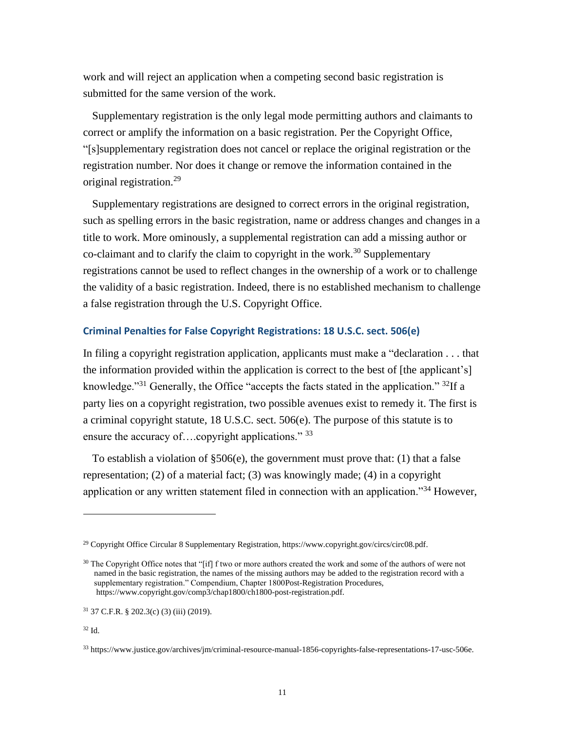work and will reject an application when a competing second basic registration is submitted for the same version of the work.

Supplementary registration is the only legal mode permitting authors and claimants to correct or amplify the information on a basic registration. Per the Copyright Office, "[s]supplementary registration does not cancel or replace the original registration or the registration number. Nor does it change or remove the information contained in the original registration.<sup>29</sup>

Supplementary registrations are designed to correct errors in the original registration, such as spelling errors in the basic registration, name or address changes and changes in a title to work. More ominously, a supplemental registration can add a missing author or co-claimant and to clarify the claim to copyright in the work.<sup>30</sup> Supplementary registrations cannot be used to reflect changes in the ownership of a work or to challenge the validity of a basic registration. Indeed, there is no established mechanism to challenge a false registration through the U.S. Copyright Office.

# **Criminal Penalties for False Copyright Registrations: 18 U.S.C. sect. 506(e)**

In filing a copyright registration application, applicants must make a "declaration . . . that the information provided within the application is correct to the best of [the applicant's] knowledge."<sup>31</sup> Generally, the Office "accepts the facts stated in the application." <sup>32</sup>If a party lies on a copyright registration, two possible avenues exist to remedy it. The first is a criminal copyright statute, 18 U.S.C. sect. 506(e). The purpose of this statute is to ensure the accuracy of....copyright applications." 33

To establish a violation of  $\S506(e)$ , the government must prove that: (1) that a false representation; (2) of a material fact; (3) was knowingly made; (4) in a copyright application or any written statement filed in connection with an application."<sup>34</sup> However,

<sup>&</sup>lt;sup>29</sup> Copyright Office Circular 8 Supplementary Registration, https://www.copyright.gov/circs/circ08.pdf.

<sup>&</sup>lt;sup>30</sup> The Copyright Office notes that "[if] f two or more authors created the work and some of the authors of were not named in the basic registration, the names of the missing authors may be added to the registration record with a supplementary registration." Compendium, Chapter 1800Post-Registration Procedures, https://www.copyright.gov/comp3/chap1800/ch1800-post-registration.pdf.

 $31$  37 C.F.R. § 202.3(c) (3) (iii) (2019).

<sup>32</sup> Id.

<sup>33</sup> https://www.justice.gov/archives/jm/criminal-resource-manual-1856-copyrights-false-representations-17-usc-506e.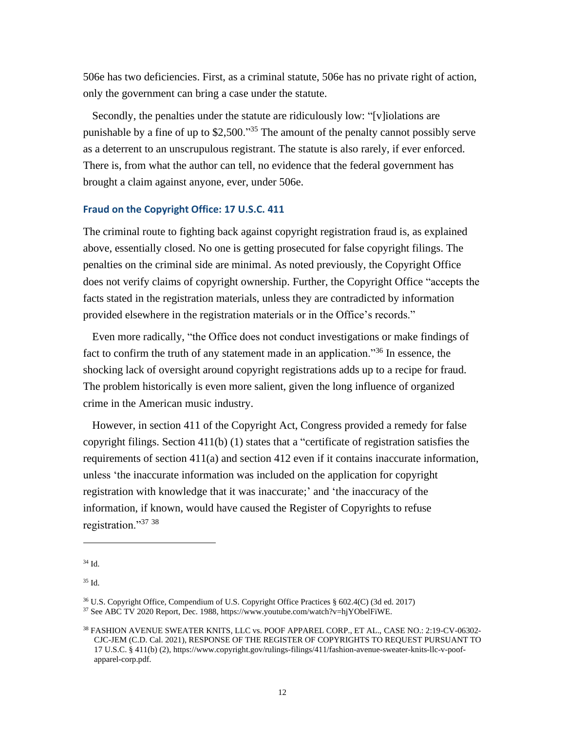506e has two deficiencies. First, as a criminal statute, 506e has no private right of action, only the government can bring a case under the statute.

Secondly, the penalties under the statute are ridiculously low: "[v]iolations are punishable by a fine of up to \$2,500."<sup>35</sup> The amount of the penalty cannot possibly serve as a deterrent to an unscrupulous registrant. The statute is also rarely, if ever enforced. There is, from what the author can tell, no evidence that the federal government has brought a claim against anyone, ever, under 506e.

# **Fraud on the Copyright Office: 17 U.S.C. 411**

The criminal route to fighting back against copyright registration fraud is, as explained above, essentially closed. No one is getting prosecuted for false copyright filings. The penalties on the criminal side are minimal. As noted previously, the Copyright Office does not verify claims of copyright ownership. Further, the Copyright Office "accepts the facts stated in the registration materials, unless they are contradicted by information provided elsewhere in the registration materials or in the Office's records."

Even more radically, "the Office does not conduct investigations or make findings of fact to confirm the truth of any statement made in an application."<sup>36</sup> In essence, the shocking lack of oversight around copyright registrations adds up to a recipe for fraud. The problem historically is even more salient, given the long influence of organized crime in the American music industry.

However, in section 411 of the Copyright Act, Congress provided a remedy for false copyright filings. Section 411(b) (1) states that a "certificate of registration satisfies the requirements of section 411(a) and section 412 even if it contains inaccurate information, unless 'the inaccurate information was included on the application for copyright registration with knowledge that it was inaccurate;' and 'the inaccuracy of the information, if known, would have caused the Register of Copyrights to refuse registration."<sup>37</sup> <sup>38</sup>

<sup>34</sup> Id.

<sup>36</sup> U.S. Copyright Office, Compendium of U.S. Copyright Office Practices § 602.4(C) (3d ed. 2017)

<sup>37</sup> See ABC TV 2020 Report, Dec. 1988, https://www.youtube.com/watch?v=hjYObelFiWE.

<sup>38</sup> FASHION AVENUE SWEATER KNITS, LLC vs. POOF APPAREL CORP., ET AL., CASE NO.: 2:19-CV-06302- CJC-JEM (C.D. Cal. 2021), RESPONSE OF THE REGISTER OF COPYRIGHTS TO REQUEST PURSUANT TO 17 U.S.C. § 411(b) (2), https://www.copyright.gov/rulings-filings/411/fashion-avenue-sweater-knits-llc-v-poofapparel-corp.pdf.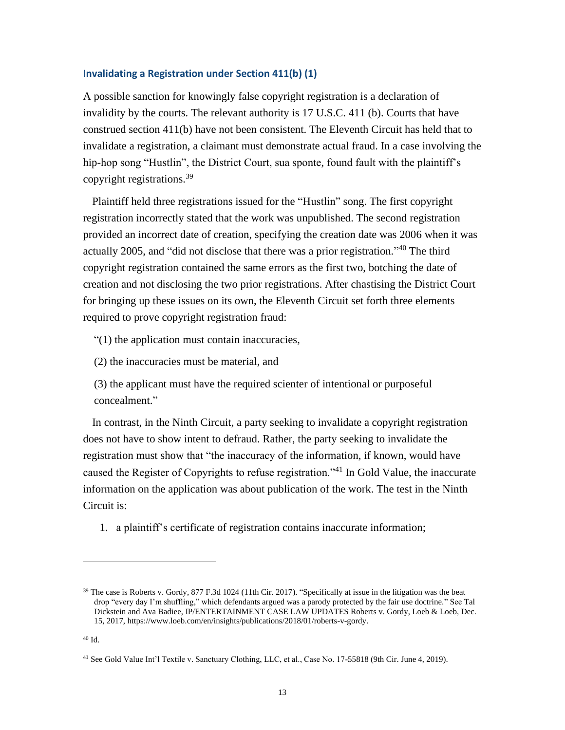### **Invalidating a Registration under Section 411(b) (1)**

A possible sanction for knowingly false copyright registration is a declaration of invalidity by the courts. The relevant authority is 17 U.S.C. 411 (b). Courts that have construed section 411(b) have not been consistent. The Eleventh Circuit has held that to invalidate a registration, a claimant must demonstrate actual fraud. In a case involving the hip-hop song "Hustlin", the District Court, sua sponte, found fault with the plaintiff's copyright registrations.<sup>39</sup>

Plaintiff held three registrations issued for the "Hustlin" song. The first copyright registration incorrectly stated that the work was unpublished. The second registration provided an incorrect date of creation, specifying the creation date was 2006 when it was actually 2005, and "did not disclose that there was a prior registration."<sup>40</sup> The third copyright registration contained the same errors as the first two, botching the date of creation and not disclosing the two prior registrations. After chastising the District Court for bringing up these issues on its own, the Eleventh Circuit set forth three elements required to prove copyright registration fraud:

"(1) the application must contain inaccuracies,

(2) the inaccuracies must be material, and

(3) the applicant must have the required scienter of intentional or purposeful concealment."

In contrast, in the Ninth Circuit, a party seeking to invalidate a copyright registration does not have to show intent to defraud. Rather, the party seeking to invalidate the registration must show that "the inaccuracy of the information, if known, would have caused the Register of Copyrights to refuse registration."<sup>41</sup> In Gold Value, the inaccurate information on the application was about publication of the work. The test in the Ninth Circuit is:

1. a plaintiff's certificate of registration contains inaccurate information;

<sup>&</sup>lt;sup>39</sup> The case is Roberts v. Gordy, 877 F.3d 1024 (11th Cir. 2017). "Specifically at issue in the litigation was the beat drop "every day I'm shuffling," which defendants argued was a parody protected by the fair use doctrine." See Tal Dickstein and Ava Badiee, IP/ENTERTAINMENT CASE LAW UPDATES Roberts v. Gordy, Loeb & Loeb, Dec. 15, 2017, https://www.loeb.com/en/insights/publications/2018/01/roberts-v-gordy.

<sup>41</sup> See Gold Value Int'l Textile v. Sanctuary Clothing, LLC, et al., Case No. 17-55818 (9th Cir. June 4, 2019).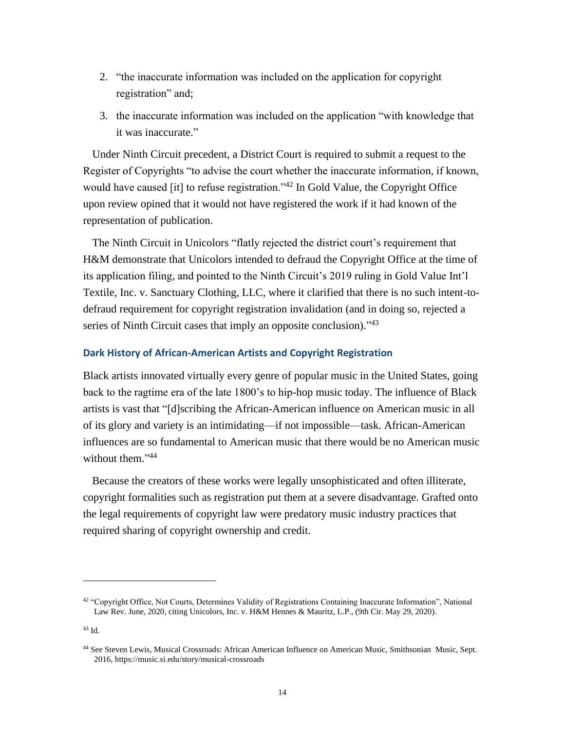- 2. "the inaccurate information was included on the application for copyright registration" and;
- 3. the inaccurate information was included on the application "with knowledge that it was inaccurate."

Under Ninth Circuit precedent, a District Court is required to submit a request to the Register of Copyrights "to advise the court whether the inaccurate information, if known, would have caused [it] to refuse registration."<sup>42</sup> In Gold Value, the Copyright Office upon review opined that it would not have registered the work if it had known of the representation of publication.

The Ninth Circuit in Unicolors "flatly rejected the district court's requirement that H&M demonstrate that Unicolors intended to defraud the Copyright Office at the time of its application filing, and pointed to the Ninth Circuit's 2019 ruling in Gold Value Int'l Textile, Inc. v. Sanctuary Clothing, LLC, where it clarified that there is no such intent-todefraud requirement for copyright registration invalidation (and in doing so, rejected a series of Ninth Circuit cases that imply an opposite conclusion)."<sup>43</sup>

# **Dark History of African-American Artists and Copyright Registration**

Black artists innovated virtually every genre of popular music in the United States, going back to the ragtime era of the late 1800's to hip-hop music today. The influence of Black artists is vast that "[d]scribing the African-American influence on American music in all of its glory and variety is an intimidating—if not impossible—task. African-American influences are so fundamental to American music that there would be no American music without them."<sup>44</sup>

Because the creators of these works were legally unsophisticated and often illiterate, copyright formalities such as registration put them at a severe disadvantage. Grafted onto the legal requirements of copyright law were predatory music industry practices that required sharing of copyright ownership and credit.

<sup>&</sup>lt;sup>42</sup> "Copyright Office, Not Courts, Determines Validity of Registrations Containing Inaccurate Information", National Law Rev. June, 2020, citing Unicolors, Inc. v. H&M Hennes & Mauritz, L.P., (9th Cir. May 29, 2020).

<sup>43</sup> Id.

<sup>44</sup> See Steven Lewis, Musical Crossroads: African American Influence on American Music, Smithsonian Music, Sept. 2016, https://music.si.edu/story/musical-crossroads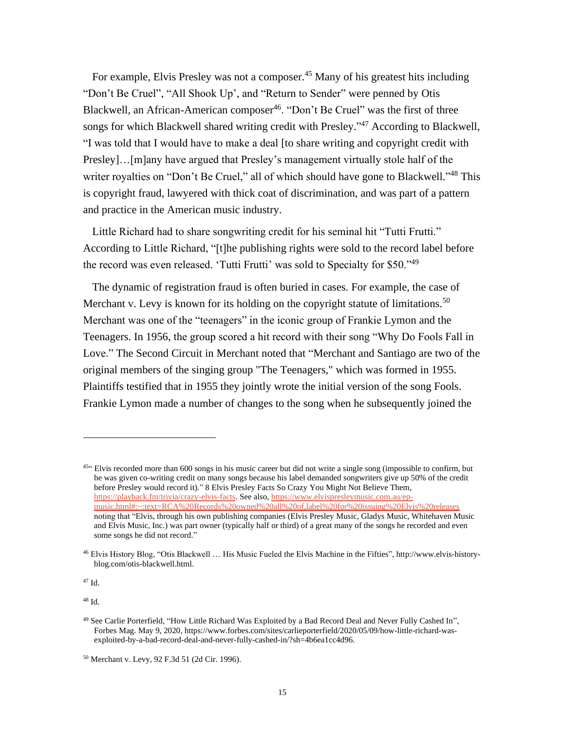For example, Elvis Presley was not a composer.<sup>45</sup> Many of his greatest hits including "Don't Be Cruel", "All Shook Up', and "Return to Sender" were penned by Otis Blackwell, an African-American composer<sup>46</sup>. "Don't Be Cruel" was the first of three songs for which Blackwell shared writing credit with Presley."<sup>47</sup> According to Blackwell, "I was told that I would have to make a deal [to share writing and copyright credit with Presley]…[m]any have argued that Presley's management virtually stole half of the writer royalties on "Don't Be Cruel," all of which should have gone to Blackwell."<sup>48</sup> This is copyright fraud, lawyered with thick coat of discrimination, and was part of a pattern and practice in the American music industry.

Little Richard had to share songwriting credit for his seminal hit "Tutti Frutti." According to Little Richard, "[t]he publishing rights were sold to the record label before the record was even released. 'Tutti Frutti' was sold to Specialty for \$50."<sup>49</sup>

The dynamic of registration fraud is often buried in cases. For example, the case of Merchant v. Levy is known for its holding on the copyright statute of limitations.<sup>50</sup> Merchant was one of the "teenagers" in the iconic group of Frankie Lymon and the Teenagers. In 1956, the group scored a hit record with their song "Why Do Fools Fall in Love." The Second Circuit in Merchant noted that "Merchant and Santiago are two of the original members of the singing group "The Teenagers," which was formed in 1955. Plaintiffs testified that in 1955 they jointly wrote the initial version of the song Fools. Frankie Lymon made a number of changes to the song when he subsequently joined the

<sup>47</sup> Id.

 $45$ <sup>454</sup> Elvis recorded more than 600 songs in his music career but did not write a single song (impossible to confirm, but he was given co-writing credit on many songs because his label demanded songwriters give up 50% of the credit before Presley would record it)." 8 Elvis Presley Facts So Crazy You Might Not Believe Them, [https://playback.fm/trivia/crazy-elvis-facts.](https://playback.fm/trivia/crazy-elvis-facts) See also, [https://www.elvispresleymusic.com.au/ep](https://www.elvispresleymusic.com.au/ep-music.html#:~:text=RCA%20Records%20owned%20all%20of,label%20for%20issuing%20Elvis%20releases)[music.html#:~:text=RCA%20Records%20owned%20all%20of,label%20for%20issuing%20Elvis%20releases](https://www.elvispresleymusic.com.au/ep-music.html#:~:text=RCA%20Records%20owned%20all%20of,label%20for%20issuing%20Elvis%20releases) noting that "Elvis, through his own publishing companies (Elvis Presley Music, Gladys Music, Whitehaven Music and Elvis Music, Inc.) was part owner (typically half or third) of a great many of the songs he recorded and even some songs he did not record."

<sup>46</sup> Elvis History Blog, "Otis Blackwell … His Music Fueled the Elvis Machine in the Fifties", http://www.elvis-historyblog.com/otis-blackwell.html.

<sup>49</sup> See Carlie Porterfield, "How Little Richard Was Exploited by a Bad Record Deal and Never Fully Cashed In", Forbes Mag. May 9, 2020, https://www.forbes.com/sites/carlieporterfield/2020/05/09/how-little-richard-wasexploited-by-a-bad-record-deal-and-never-fully-cashed-in/?sh=4b6ea1cc4d96.

<sup>50</sup> Merchant v. Levy, 92 F.3d 51 (2d Cir. 1996).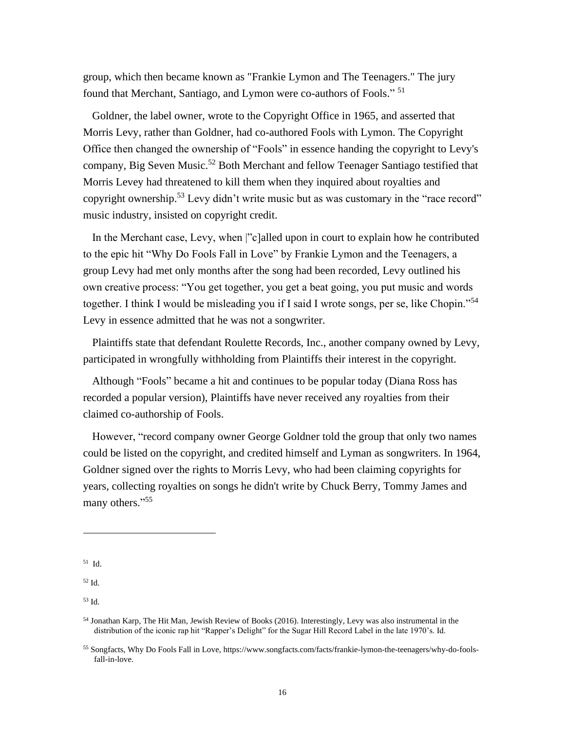group, which then became known as "Frankie Lymon and The Teenagers." The jury found that Merchant, Santiago, and Lymon were co-authors of Fools."<sup>51</sup>

Goldner, the label owner, wrote to the Copyright Office in 1965, and asserted that Morris Levy, rather than Goldner, had co-authored Fools with Lymon. The Copyright Office then changed the ownership of "Fools" in essence handing the copyright to Levy's company, Big Seven Music.<sup>52</sup> Both Merchant and fellow Teenager Santiago testified that Morris Levey had threatened to kill them when they inquired about royalties and copyright ownership.<sup>53</sup> Levy didn't write music but as was customary in the "race record" music industry, insisted on copyright credit.

In the Merchant case, Levy, when |"c]alled upon in court to explain how he contributed to the epic hit "Why Do Fools Fall in Love" by Frankie Lymon and the Teenagers, a group Levy had met only months after the song had been recorded, Levy outlined his own creative process: "You get together, you get a beat going, you put music and words together. I think I would be misleading you if I said I wrote songs, per se, like Chopin."<sup>54</sup> Levy in essence admitted that he was not a songwriter.

Plaintiffs state that defendant Roulette Records, Inc., another company owned by Levy, participated in wrongfully withholding from Plaintiffs their interest in the copyright.

Although "Fools" became a hit and continues to be popular today (Diana Ross has recorded a popular version), Plaintiffs have never received any royalties from their claimed co-authorship of Fools.

However, "record company owner George Goldner told the group that only two names could be listed on the copyright, and credited himself and Lyman as songwriters. In 1964, Goldner signed over the rights to Morris Levy, who had been claiming copyrights for years, collecting royalties on songs he didn't write by Chuck Berry, Tommy James and many others."55

<sup>51</sup> Id.

<sup>52</sup> Id.

<sup>54</sup> Jonathan Karp, The Hit Man, Jewish Review of Books (2016). Interestingly, Levy was also instrumental in the distribution of the iconic rap hit "Rapper's Delight" for the Sugar Hill Record Label in the late 1970's. Id.

<sup>55</sup> Songfacts, Why Do Fools Fall in Love, https://www.songfacts.com/facts/frankie-lymon-the-teenagers/why-do-foolsfall-in-love.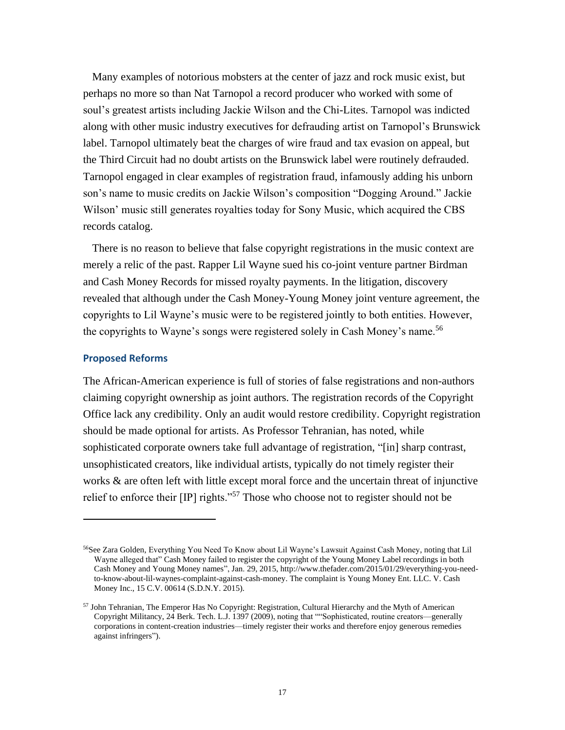Many examples of notorious mobsters at the center of jazz and rock music exist, but perhaps no more so than Nat Tarnopol a record producer who worked with some of soul's greatest artists including Jackie Wilson and the Chi-Lites. Tarnopol was indicted along with other music industry executives for defrauding artist on Tarnopol's Brunswick label. Tarnopol ultimately beat the charges of wire fraud and tax evasion on appeal, but the Third Circuit had no doubt artists on the Brunswick label were routinely defrauded. Tarnopol engaged in clear examples of registration fraud, infamously adding his unborn son's name to music credits on Jackie Wilson's composition "Dogging Around." Jackie Wilson' music still generates royalties today for Sony Music, which acquired the CBS records catalog.

There is no reason to believe that false copyright registrations in the music context are merely a relic of the past. Rapper Lil Wayne sued his co-joint venture partner Birdman and Cash Money Records for missed royalty payments. In the litigation, discovery revealed that although under the Cash Money-Young Money joint venture agreement, the copyrights to Lil Wayne's music were to be registered jointly to both entities. However, the copyrights to Wayne's songs were registered solely in Cash Money's name.<sup>56</sup>

#### **Proposed Reforms**

The African-American experience is full of stories of false registrations and non-authors claiming copyright ownership as joint authors. The registration records of the Copyright Office lack any credibility. Only an audit would restore credibility. Copyright registration should be made optional for artists. As Professor Tehranian, has noted, while sophisticated corporate owners take full advantage of registration, "[in] sharp contrast, unsophisticated creators, like individual artists, typically do not timely register their works & are often left with little except moral force and the uncertain threat of injunctive relief to enforce their [IP] rights."<sup>57</sup> Those who choose not to register should not be

<sup>56</sup>See Zara Golden, Everything You Need To Know about Lil Wayne's Lawsuit Against Cash Money, noting that Lil Wayne alleged that" Cash Money failed to register the copyright of the Young Money Label recordings in both Cash Money and Young Money names", Jan. 29, 2015, http://www.thefader.com/2015/01/29/everything-you-needto-know-about-lil-waynes-complaint-against-cash-money. The complaint is Young Money Ent. LLC. V. Cash Money Inc., 15 C.V. 00614 (S.D.N.Y. 2015).

 $57$  John Tehranian, The Emperor Has No Copyright: Registration, Cultural Hierarchy and the Myth of American Copyright Militancy, 24 Berk. Tech. L.J. 1397 (2009), noting that ""Sophisticated, routine creators—generally corporations in content-creation industries—timely register their works and therefore enjoy generous remedies against infringers").